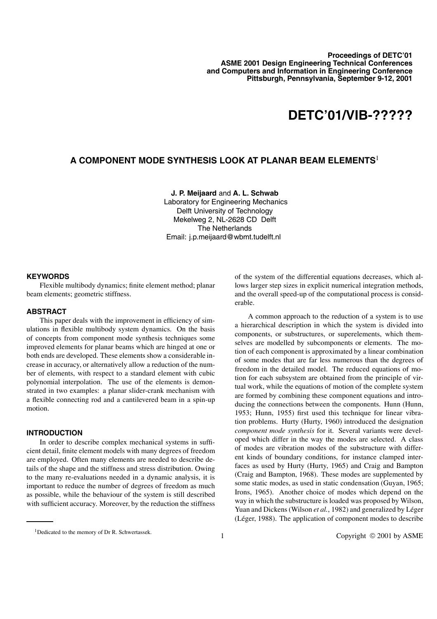# **DETC'01/VIB-?????**

## **A COMPONENT MODE SYNTHESIS LOOK AT PLANAR BEAM ELEMENTS**<sup>1</sup>

## **J. P. Meijaard** and **A. L. Schwab**

Laboratory for Engineering Mechanics Delft University of Technology Mekelweg 2, NL-2628 CD Delft The Netherlands Email: j.p.meijaard@wbmt.tudelft.nl

## **KEYWORDS**

Flexible multibody dynamics; finite element method; planar beam elements; geometric stiffness.

## **ABSTRACT**

This paper deals with the improvement in efficiency of simulations in flexible multibody system dynamics. On the basis of concepts from component mode synthesis techniques some improved elements for planar beams which are hinged at one or both ends are developed. These elements show a considerable increase in accuracy, or alternatively allow a reduction of the number of elements, with respect to a standard element with cubic polynomial interpolation. The use of the elements is demonstrated in two examples: a planar slider-crank mechanism with a flexible connecting rod and a cantilevered beam in a spin-up motion.

## **INTRODUCTION**

In order to describe complex mechanical systems in sufficient detail, finite element models with many degrees of freedom are employed. Often many elements are needed to describe details of the shape and the stiffness and stress distribution. Owing to the many re-evaluations needed in a dynamic analysis, it is important to reduce the number of degrees of freedom as much as possible, while the behaviour of the system is still described with sufficient accuracy. Moreover, by the reduction the stiffness of the system of the differential equations decreases, which allows larger step sizes in explicit numerical integration methods, and the overall speed-up of the computational process is considerable.

A common approach to the reduction of a system is to use a hierarchical description in which the system is divided into components, or substructures, or superelements, which themselves are modelled by subcomponents or elements. The motion of each component is approximated by a linear combination of some modes that are far less numerous than the degrees of freedom in the detailed model. The reduced equations of motion for each subsystem are obtained from the principle of virtual work, while the equations of motion of the complete system are formed by combining these component equations and introducing the connections between the components. Hunn (Hunn, 1953; Hunn, 1955) first used this technique for linear vibration problems. Hurty (Hurty, 1960) introduced the designation *component mode synthesis* for it. Several variants were developed which differ in the way the modes are selected. A class of modes are vibration modes of the substructure with different kinds of boundary conditions, for instance clamped interfaces as used by Hurty (Hurty, 1965) and Craig and Bampton (Craig and Bampton, 1968). These modes are supplemented by some static modes, as used in static condensation (Guyan, 1965; Irons, 1965). Another choice of modes which depend on the way in which the substructure is loaded was proposed by Wilson, Yuan and Dickens (Wilson *et al.*, 1982) and generalized by Léger (Léger, 1988). The application of component modes to describe

<sup>&</sup>lt;sup>1</sup>Dedicated to the memory of Dr R. Schwertassek.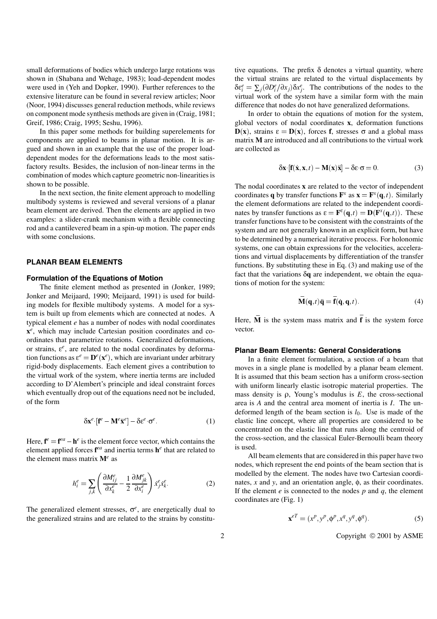small deformations of bodies which undergo large rotations was shown in (Shabana and Wehage, 1983); load-dependent modes were used in (Yeh and Dopker, 1990). Further references to the extensive literature can be found in several review articles; Noor (Noor, 1994) discusses general reduction methods, while reviews on component mode synthesis methods are given in (Craig, 1981; Greif, 1986; Craig, 1995; Seshu, 1996).

In this paper some methods for building superelements for components are applied to beams in planar motion. It is argued and shown in an example that the use of the proper loaddependent modes for the deformations leads to the most satisfactory results. Besides, the inclusion of non-linear terms in the combination of modes which capture geometric non-linearities is shown to be possible.

In the next section, the finite element approach to modelling multibody systems is reviewed and several versions of a planar beam element are derived. Then the elements are applied in two examples: a slider-crank mechanism with a flexible connecting rod and a cantilevered beam in a spin-up motion. The paper ends with some conclusions.

## **PLANAR BEAM ELEMENTS**

## **Formulation of the Equations of Motion**

The finite element method as presented in (Jonker, 1989; Jonker and Meijaard, 1990; Meijaard, 1991) is used for building models for flexible multibody systems. A model for a system is built up from elements which are connected at nodes. A typical element *e* has a number of nodes with nodal coordinates  $x^e$ , which may include Cartesian position coordinates and coordinates that parametrize rotations. Generalized deformations, or strains, ε*e*, are related to the nodal coordinates by deformation functions as  $\varepsilon^e = \mathbf{D}^e(\mathbf{x}^e)$ , which are invariant under arbitrary rigid-body displacements. Each element gives a contribution to the virtual work of the system, where inertia terms are included according to D'Alembert's principle and ideal constraint forces which eventually drop out of the equations need not be included, of the form

$$
\delta \mathbf{x}^e \left[ \mathbf{f}^e - \mathbf{M}^e \ddot{\mathbf{x}}^e \right] - \delta \varepsilon^e \sigma^e. \tag{1}
$$

Here,  $\mathbf{f}^e = \mathbf{f}^{ea} - \mathbf{h}^e$  is the element force vector, which contains the element applied forces  $f^{eq}$  and inertia terms  $h^e$  that are related to the element mass matrix  $M^e$  as

$$
h_i^e = \sum_{j,k} \left( \frac{\partial M_{ij}^e}{\partial x_k^e} - \frac{1}{2} \frac{\partial M_{jk}^e}{\partial x_i^e} \right) \dot{x}_j^e \dot{x}_k^e.
$$
 (2)

The generalized element stresses,  $\sigma^e$ , are energetically dual to the generalized strains and are related to the strains by constitutive equations. The prefix  $\delta$  denotes a virtual quantity, where the virtual strains are related to the virtual displacements by  $\delta \varepsilon_i^e = \sum_j (\partial D_i^e / \partial x_j) \delta x_j^e$ . The contributions of the nodes to the virtual work of the system have a similar form with the main difference that nodes do not have generalized deformations.

In order to obtain the equations of motion for the system, global vectors of nodal coordinates **x**, deformation functions **D**(**x**), strains  $\varepsilon = D(x)$ , forces **f**, stresses  $\sigma$  and a global mass matrix **M** are introduced and all contributions to the virtual work are collected as

$$
\delta \mathbf{x} \left[ \mathbf{f}(\dot{\mathbf{x}}, \mathbf{x}, t) - \mathbf{M}(\mathbf{x}) \ddot{\mathbf{x}} \right] - \delta \varepsilon \sigma = 0. \tag{3}
$$

The nodal coordinates **x** are related to the vector of independent coordinates **q** by transfer functions  $\mathbf{F}^x$  as  $\mathbf{x} = \mathbf{F}^x(\mathbf{q}, t)$ . Similarly the element deformations are related to the independent coordinates by transfer functions as  $\epsilon = \mathbf{F}^{\epsilon}(\mathbf{q}, t) = \mathbf{D}(\mathbf{F}^{\chi}(\mathbf{q}, t))$ . These transfer functions have to be consistent with the constraints of the system and are not generally known in an explicit form, but have to be determined by a numerical iterative process. For holonomic systems, one can obtain expressions for the velocities, accelerations and virtual displacements by differentiation of the transfer functions. By substituting these in Eq. (3) and making use of the fact that the variations δ**q** are independent, we obtain the equations of motion for the system:

$$
\overline{\mathbf{M}}(\mathbf{q},t)\overline{\mathbf{q}} = \overline{\mathbf{f}}(\dot{\mathbf{q}},\mathbf{q},t).
$$
 (4)

Here,  $\overline{M}$  is the system mass matrix and  $\overline{f}$  is the system force vector.

## **Planar Beam Elements: General Considerations**

In a finite element formulation, a section of a beam that moves in a single plane is modelled by a planar beam element. It is assumed that this beam section has a uniform cross-section with uniform linearly elastic isotropic material properties. The mass density is ρ, Young's modulus is *E*, the cross-sectional area is *A* and the central area moment of inertia is *I*. The undeformed length of the beam section is *l*0. Use is made of the elastic line concept, where all properties are considered to be concentrated on the elastic line that runs along the centroid of the cross-section, and the classical Euler-Bernoulli beam theory is used.

All beam elements that are considered in this paper have two nodes, which represent the end points of the beam section that is modelled by the element. The nodes have two Cartesian coordinates, *x* and *y*, and an orientation angle, φ, as their coordinates. If the element  $e$  is connected to the nodes  $p$  and  $q$ , the element coordinates are (Fig. 1)

$$
\mathbf{x}^{eT} = (x^p, y^p, \phi^p, x^q, y^q, \phi^q). \tag{5}
$$

2 Copyright © 2001 by ASME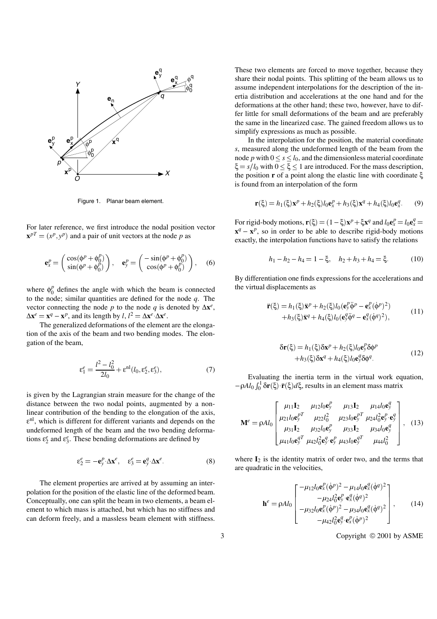

Figure 1. Planar beam element.

For later reference, we first introduce the nodal position vector  $\mathbf{x}^{pT} = (x^p, y^p)$  and a pair of unit vectors at the node *p* as

$$
\mathbf{e}_x^p = \begin{pmatrix} \cos(\phi^p + \phi_0^p) \\ \sin(\phi^p + \phi_0^p) \end{pmatrix}, \quad \mathbf{e}_y^p = \begin{pmatrix} -\sin(\phi^p + \phi_0^p) \\ \cos(\phi^p + \phi_0^p) \end{pmatrix}, \quad (6)
$$

where  $\phi_0^p$  defines the angle with which the beam is connected to the node; similar quantities are defined for the node *q*. The vector connecting the node *p* to the node *q* is denoted by  $\Delta \mathbf{x}^e$ ,  $\Delta \mathbf{x}^e = \mathbf{x}^q - \mathbf{x}^p$ , and its length by *l*,  $l^2 = \Delta \mathbf{x}^e \Delta \mathbf{x}^e$ .

The generalized deformations of the element are the elongation of the axis of the beam and two bending modes. The elongation of the beam,

$$
\varepsilon_1^e = \frac{l^2 - l_0^2}{2l_0} + \varepsilon^{nl}(l_0, \varepsilon_2^e, \varepsilon_3^e),\tag{7}
$$

is given by the Lagrangian strain measure for the change of the distance between the two nodal points, augmented by a nonlinear contribution of the bending to the elongation of the axis,  $\varepsilon$ <sup>nl</sup>, which is different for different variants and depends on the undeformed length of the beam and the two bending deformations ε*<sup>e</sup>* <sup>2</sup> and ε*<sup>e</sup>* <sup>3</sup>. These bending deformations are defined by

$$
\varepsilon_2^e = -\mathbf{e}_y^p \Delta \mathbf{x}^e, \quad \varepsilon_3^e = \mathbf{e}_y^q \Delta \mathbf{x}^e. \tag{8}
$$

The element properties are arrived at by assuming an interpolation for the position of the elastic line of the deformed beam. Conceptually, one can split the beam in two elements, a beam element to which mass is attached, but which has no stiffness and can deform freely, and a massless beam element with stiffness. These two elements are forced to move together, because they share their nodal points. This splitting of the beam allows us to assume independent interpolations for the description of the inertia distribution and accelerations at the one hand and for the deformations at the other hand; these two, however, have to differ little for small deformations of the beam and are preferably the same in the linearized case. The gained freedom allows us to simplify expressions as much as possible.

In the interpolation for the position, the material coordinate *s*, measured along the undeformed length of the beam from the node *p* with  $0 \le s \le l_0$ , and the dimensionless material coordinate  $\xi = s/l_0$  with  $0 \le \xi \le 1$  are introduced. For the mass description, the position **r** of a point along the elastic line with coordinate ξ is found from an interpolation of the form

$$
\mathbf{r}(\xi) = h_1(\xi)\mathbf{x}^p + h_2(\xi)l_0\mathbf{e}_x^p + h_3(\xi)\mathbf{x}^q + h_4(\xi)l_0\mathbf{e}_x^q. \tag{9}
$$

For rigid-body motions,  $\mathbf{r}(\xi) = (1 - \xi)\mathbf{x}^p + \xi \mathbf{x}^q$  and  $l_0 \mathbf{e}^p_x = l_0 \mathbf{e}^q_x =$  $x^q - x^p$ , so in order to be able to describe rigid-body motions exactly, the interpolation functions have to satisfy the relations

$$
h_1 - h_2 - h_4 = 1 - \xi, \quad h_2 + h_3 + h_4 = \xi. \tag{10}
$$

By differentiation one finds expressions for the accelerations and the virtual displacements as

$$
\ddot{\mathbf{r}}(\xi) = h_1(\xi)\ddot{\mathbf{x}}^p + h_2(\xi)l_0(\mathbf{e}_y^p\ddot{\phi}^p - \mathbf{e}_x^p(\dot{\phi}^p)^2) + h_3(\xi)\ddot{\mathbf{x}}^q + h_4(\xi)l_0(\mathbf{e}_y^q\ddot{\phi}^q - \mathbf{e}_x^q(\dot{\phi}^q)^2),
$$
(11)

$$
\delta \mathbf{r}(\xi) = h_1(\xi) \delta \mathbf{x}^p + h_2(\xi) l_0 \mathbf{e}_y^p \delta \phi^p
$$
  
+ 
$$
h_3(\xi) \delta \mathbf{x}^q + h_4(\xi) l_0 \mathbf{e}_y^q \delta \phi^q.
$$
 (12)

Evaluating the inertia term in the virtual work equation,  $-\rho A l_0 \int_0^1 \delta \mathbf{r}(\xi) \cdot \ddot{\mathbf{r}}(\xi) d\xi$ , results in an element mass matrix

$$
\mathbf{M}^{e} = \rho A l_{0} \begin{bmatrix} \mu_{11} \mathbf{I}_{2} & \mu_{12} l_{0} \mathbf{e}_{y}^{p} & \mu_{13} \mathbf{I}_{2} & \mu_{14} l_{0} \mathbf{e}_{y}^{q} \\ \mu_{21} l_{0} \mathbf{e}_{y}^{p} & \mu_{22} l_{0}^{2} & \mu_{23} l_{0} \mathbf{e}_{y}^{p} & \mu_{24} l_{0}^{2} \mathbf{e}_{y}^{p} & \mathbf{e}_{y}^{q} \\ \mu_{31} \mathbf{I}_{2} & \mu_{32} l_{0} \mathbf{e}_{y}^{p} & \mu_{33} \mathbf{I}_{2} & \mu_{34} l_{0} \mathbf{e}_{y}^{q} \\ \mu_{41} l_{0} \mathbf{e}_{y}^{q} & \mu_{42} l_{0}^{2} \mathbf{e}_{y}^{q} & \mathbf{e}_{y}^{p} & \mu_{43} l_{0} \mathbf{e}_{y}^{q} & \mu_{44} l_{0}^{2} \end{bmatrix}, \quad (13)
$$

where  $I_2$  is the identity matrix of order two, and the terms that are quadratic in the velocities,

$$
\mathbf{h}^{e} = \rho A l_0 \begin{bmatrix} -\mu_{12} l_0 \mathbf{e}_x^p (\dot{\phi}^p)^2 - \mu_{14} l_0 \mathbf{e}_x^q (\dot{\phi}^q)^2 \\ -\mu_{24} l_0^2 \mathbf{e}_y^p \cdot \mathbf{e}_x^q (\dot{\phi}^q)^2 \\ -\mu_{32} l_0 \mathbf{e}_x^p (\dot{\phi}^p)^2 - \mu_{34} l_0 \mathbf{e}_x^q (\dot{\phi}^q)^2 \\ -\mu_{42} l_0^2 \mathbf{e}_y^q \cdot \mathbf{e}_x^p (\dot{\phi}^p)^2 \end{bmatrix},
$$
(14)

3 Copyright © 2001 by ASME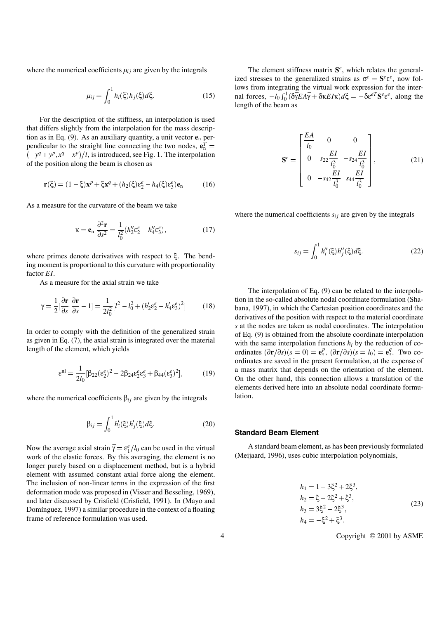where the numerical coefficients  $\mu_{ij}$  are given by the integrals

$$
\mu_{ij} = \int_0^1 h_i(\xi) h_j(\xi) d\xi.
$$
 (15)

For the description of the stiffness, an interpolation is used that differs slightly from the interpolation for the mass description as in Eq. (9). As an auxiliary quantity, a unit vector **e**<sup>n</sup> perpendicular to the straight line connecting the two nodes,  $\mathbf{e}_n^T =$  $(-y^q + y^p, x^q - x^p)/l$ , is introduced, see Fig. 1. The interpolation of the position along the beam is chosen as

$$
\mathbf{r}(\xi) = (1 - \xi)\mathbf{x}^p + \xi \mathbf{x}^q + (h_2(\xi)\varepsilon_2^e - h_4(\xi)\varepsilon_3^e)\mathbf{e}_n.
$$
 (16)

As a measure for the curvature of the beam we take

$$
\kappa = \mathbf{e}_n \cdot \frac{\partial^2 \mathbf{r}}{\partial s^2} = \frac{1}{l_0^2} (h_2'' \varepsilon_2^e - h_4'' \varepsilon_3^e),\tag{17}
$$

where primes denote derivatives with respect to ξ. The bending moment is proportional to this curvature with proportionality factor *EI*.

As a measure for the axial strain we take

$$
\gamma = \frac{1}{2} \left[ \frac{\partial \mathbf{r}}{\partial s} \cdot \frac{\partial \mathbf{r}}{\partial s} - 1 \right] = \frac{1}{2l_0^2} \left[ l^2 - l_0^2 + (h_2' \varepsilon_2^e - h_4' \varepsilon_3^e)^2 \right]. \tag{18}
$$

In order to comply with the definition of the generalized strain as given in Eq. (7), the axial strain is integrated over the material length of the element, which yields

$$
\epsilon^{nl} = \frac{1}{2l_0} [\beta_{22} (\epsilon_2^e)^2 - 2\beta_{24} \epsilon_2^e \epsilon_3^e + \beta_{44} (\epsilon_3^e)^2],\tag{19}
$$

where the numerical coefficients  $\beta_{ij}$  are given by the integrals

$$
\beta_{ij} = \int_0^1 h'_i(\xi)h'_j(\xi)d\xi.
$$
\n(20)

Now the average axial strain  $\bar{\gamma} = \varepsilon_1^e / l_0$  can be used in the virtual work of the elastic forces. By this averaging, the element is no longer purely based on a displacement method, but is a hybrid element with assumed constant axial force along the element. The inclusion of non-linear terms in the expression of the first deformation mode was proposed in (Visser and Besseling, 1969), and later discussed by Crisfield (Crisfield, 1991). In (Mayo and Domínguez, 1997) a similar procedure in the context of a floating frame of reference formulation was used.

The element stiffness matrix **S***e*, which relates the generalized stresses to the generalized strains as  $\sigma^e = S^e \varepsilon^e$ , now follows from integrating the virtual work expression for the internal forces,  $-l_0 \int_0^1 (\delta \overline{\gamma} E A \overline{\gamma} + \delta \kappa E I \kappa) d\xi = -\delta \varepsilon^{eT} \mathbf{S}^e \varepsilon^e$ , along the length of the beam as

*EA*

$$
\mathbf{S}^{e} = \begin{bmatrix} \frac{EA}{l_0} & 0 & 0\\ 0 & s_{22} \frac{EI}{l_0^3} & -s_{24} \frac{EI}{l_0^3}\\ 0 & -s_{42} \frac{EI}{l_0^3} & s_{44} \frac{EI}{l_0^3} \end{bmatrix},
$$
(21)

where the numerical coefficients  $s_{ij}$  are given by the integrals

$$
s_{ij} = \int_0^1 h_i''(\xi) h_j''(\xi) d\xi.
$$
 (22)

The interpolation of Eq. (9) can be related to the interpolation in the so-called absolute nodal coordinate formulation (Shabana, 1997), in which the Cartesian position coordinates and the derivatives of the position with respect to the material coordinate *s* at the nodes are taken as nodal coordinates. The interpolation of Eq. (9) is obtained from the absolute coordinate interpolation with the same interpolation functions  $h_i$  by the reduction of coordinates  $\left(\frac{\partial \mathbf{r}}{\partial s}\right)\left(s=0\right) = \mathbf{e}_x^p$ ,  $\left(\frac{\partial \mathbf{r}}{\partial s}\right)\left(s=l_0\right) = \mathbf{e}_x^q$ . Two coordinates are saved in the present formulation, at the expense of a mass matrix that depends on the orientation of the element. On the other hand, this connection allows a translation of the elements derived here into an absolute nodal coordinate formulation.

#### **Standard Beam Element**

A standard beam element, as has been previously formulated (Meijaard, 1996), uses cubic interpolation polynomials,

$$
h_1 = 1 - 3\xi^2 + 2\xi^3,
$$
  
\n
$$
h_2 = \xi - 2\xi^2 + \xi^3,
$$
  
\n
$$
h_3 = 3\xi^2 - 2\xi^3,
$$
  
\n
$$
h_4 = -\xi^2 + \xi^3.
$$
\n(23)

4 Copyright © 2001 by ASME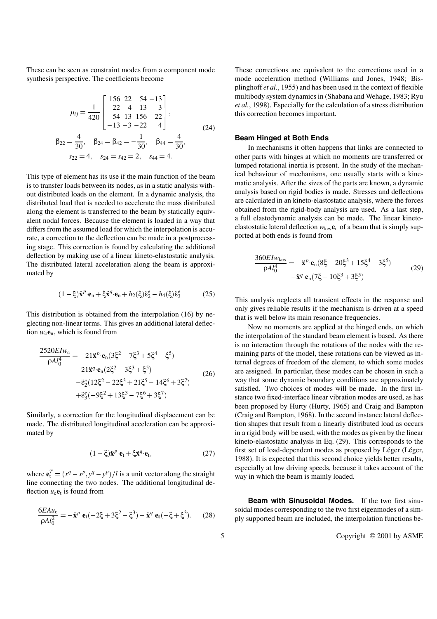These can be seen as constraint modes from a component mode synthesis perspective. The coefficients become

$$
\mu_{ij} = \frac{1}{420} \begin{bmatrix} 156 & 22 & 54 - 13 \\ 22 & 4 & 13 & -3 \\ 54 & 13 & 156 - 22 \\ -13 & -3 & -22 & 4 \end{bmatrix},
$$
  
\n
$$
\beta_{22} = \frac{4}{30}, \quad \beta_{24} = \beta_{42} = -\frac{1}{30}, \quad \beta_{44} = \frac{4}{30},
$$
  
\n
$$
s_{22} = 4, \quad s_{24} = s_{42} = 2, \quad s_{44} = 4.
$$
\n(24)

This type of element has its use if the main function of the beam is to transfer loads between its nodes, as in a static analysis without distributed loads on the element. In a dynamic analysis, the distributed load that is needed to accelerate the mass distributed along the element is transferred to the beam by statically equivalent nodal forces. Because the element is loaded in a way that differs from the assumed load for which the interpolation is accurate, a correction to the deflection can be made in a postprocessing stage. This correction is found by calculating the additional deflection by making use of a linear kineto-elastostatic analysis. The distributed lateral acceleration along the beam is approximated by

$$
(1 - \xi)\ddot{\mathbf{x}}^p \cdot \mathbf{e}_n + \xi \ddot{\mathbf{x}}^q \cdot \mathbf{e}_n + h_2(\xi)\ddot{\varepsilon}_2^e - h_4(\xi)\ddot{\varepsilon}_3^e. \tag{25}
$$

This distribution is obtained from the interpolation (16) by neglecting non-linear terms. This gives an additional lateral deflection  $w_c$ **e**<sub>n</sub>, which is found from

$$
\frac{2520E I w_c}{\rho A l_0^4} = -21 \dot{\mathbf{x}}^p \cdot \mathbf{e}_n (3\xi^2 - 7\xi^3 + 5\xi^4 - \xi^5) \n-21 \dot{\mathbf{x}}^q \cdot \mathbf{e}_n (2\xi^2 - 3\xi^3 + \xi^5) \n- \ddot{\mathbf{e}}_2^e (12\xi^2 - 22\xi^3 + 21\xi^5 - 14\xi^6 + 3\xi^7) \n+ \ddot{\mathbf{e}}_3^e (-9\xi^2 + 13\xi^3 - 7\xi^6 + 3\xi^7).
$$
\n(26)

Similarly, a correction for the longitudinal displacement can be made. The distributed longitudinal acceleration can be approximated by

$$
(1 - \xi)\ddot{\mathbf{x}}^p \cdot \mathbf{e}_t + \xi \ddot{\mathbf{x}}^q \cdot \mathbf{e}_t, \tag{27}
$$

where  $\mathbf{e}^T_t = (x^q - x^p, y^q - y^p) / l$  is a unit vector along the straight line connecting the two nodes. The additional longitudinal deflection  $u_c$ **e**<sub>t</sub> is found from

$$
\frac{6EAu_{c}}{\rho Al_{0}^{2}} = -\ddot{\mathbf{x}}^{p} \cdot \mathbf{e}_{t}(-2\xi + 3\xi^{2} - \xi^{3}) - \ddot{\mathbf{x}}^{q} \cdot \mathbf{e}_{t}(-\xi + \xi^{3}).
$$
 (28)

These corrections are equivalent to the corrections used in a mode acceleration method (Williams and Jones, 1948; Bisplinghoff *et al.*, 1955) and has been used in the context of flexible multibody system dynamics in (Shabana and Wehage, 1983; Ryu *et al.*, 1998). Especially for the calculation of a stress distribution this correction becomes important.

## **Beam Hinged at Both Ends**

In mechanisms it often happens that links are connected to other parts with hinges at which no moments are transferred or lumped rotational inertia is present. In the study of the mechanical behaviour of mechanisms, one usually starts with a kinematic analysis. After the sizes of the parts are known, a dynamic analysis based on rigid bodies is made. Stresses and deflections are calculated in an kineto-elastostatic analysis, where the forces obtained from the rigid-body analysis are used. As a last step, a full elastodynamic analysis can be made. The linear kinetoelastostatic lateral deflection  $w_{\text{kes}}e_n$  of a beam that is simply supported at both ends is found from

$$
\frac{360EIw_{\text{kes}}}{\rho A l_0^4} = -\ddot{\mathbf{x}}^p \cdot \mathbf{e}_n (8\xi - 20\xi^3 + 15\xi^4 - 3\xi^5) \n- \ddot{\mathbf{x}}^q \cdot \mathbf{e}_n (7\xi - 10\xi^3 + 3\xi^5).
$$
\n(29)

This analysis neglects all transient effects in the response and only gives reliable results if the mechanism is driven at a speed that is well below its main resonance frequencies.

Now no moments are applied at the hinged ends, on which the interpolation of the standard beam element is based. As there is no interaction through the rotations of the nodes with the remaining parts of the model, these rotations can be viewed as internal degrees of freedom of the element, to which some modes are assigned. In particular, these modes can be chosen in such a way that some dynamic boundary conditions are approximately satisfied. Two choices of modes will be made. In the first instance two fixed-interface linear vibration modes are used, as has been proposed by Hurty (Hurty, 1965) and Craig and Bampton (Craig and Bampton, 1968). In the second instance lateral deflection shapes that result from a linearly distributed load as occurs in a rigid body will be used, with the modes as given by the linear kineto-elastostatic analysis in Eq. (29). This corresponds to the first set of load-dependent modes as proposed by Léger (Léger, 1988). It is expected that this second choice yields better results, especially at low driving speeds, because it takes account of the way in which the beam is mainly loaded.

**Beam with Sinusoidal Modes.** If the two first sinusoidal modes corresponding to the two first eigenmodes of a simply supported beam are included, the interpolation functions be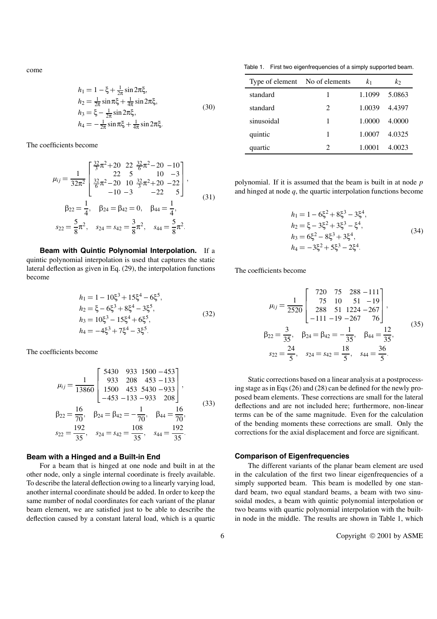come

$$
h_1 = 1 - \xi + \frac{1}{2\pi} \sin 2\pi \xi,
$$
  
\n
$$
h_2 = \frac{1}{2\pi} \sin \pi \xi + \frac{1}{4\pi} \sin 2\pi \xi,
$$
  
\n
$$
h_3 = \xi - \frac{1}{2\pi} \sin 2\pi \xi,
$$
  
\n
$$
h_4 = -\frac{1}{2\pi} \sin \pi \xi + \frac{1}{4\pi} \sin 2\pi \xi.
$$
\n(30)

The coefficients become

$$
\mu_{ij} = \frac{1}{32\pi^2} \begin{bmatrix} \frac{32}{3}\pi^2 + 20 & 22 & \frac{32}{6}\pi^2 - 20 & -10 \\ 22 & 5 & 10 & -3 \\ \frac{32}{6}\pi^2 - 20 & 10 & \frac{32}{3}\pi^2 + 20 & -22 \\ -10 & -3 & -22 & 5 \end{bmatrix},
$$
  
\n
$$
\beta_{22} = \frac{1}{4}, \quad \beta_{24} = \beta_{42} = 0, \quad \beta_{44} = \frac{1}{4},
$$
  
\n
$$
s_{22} = \frac{5}{8}\pi^2, \quad s_{24} = s_{42} = \frac{3}{8}\pi^2, \quad s_{44} = \frac{5}{8}\pi^2.
$$
 (31)

**Beam with Quintic Polynomial Interpolation.** If a quintic polynomial interpolation is used that captures the static lateral deflection as given in Eq. (29), the interpolation functions become

$$
h_1 = 1 - 10\xi^3 + 15\xi^4 - 6\xi^5,
$$
  
\n
$$
h_2 = \xi - 6\xi^3 + 8\xi^4 - 3\xi^5,
$$
  
\n
$$
h_3 = 10\xi^3 - 15\xi^4 + 6\xi^5,
$$
  
\n
$$
h_4 = -4\xi^3 + 7\xi^4 - 3\xi^5.
$$
\n(32)

The coefficients become

$$
\mu_{ij} = \frac{1}{13860} \begin{bmatrix} 5430 & 933 & 1500 & -453 \\ 933 & 208 & 453 & -133 \\ 1500 & 453 & 5430 & -933 \\ -453 & -133 & -933 & 208 \end{bmatrix},
$$
  
\n
$$
\beta_{22} = \frac{16}{70}, \quad \beta_{24} = \beta_{42} = -\frac{1}{70}, \quad \beta_{44} = \frac{16}{70},
$$
  
\n
$$
s_{22} = \frac{192}{35}, \quad s_{24} = s_{42} = \frac{108}{35}, \quad s_{44} = \frac{192}{35}.
$$
 (33)

## **Beam with a Hinged and a Built-in End**

For a beam that is hinged at one node and built in at the other node, only a single internal coordinate is freely available. To describe the lateral deflection owing to a linearly varying load, another internal coordinate should be added. In order to keep the same number of nodal coordinates for each variant of the planar beam element, we are satisfied just to be able to describe the deflection caused by a constant lateral load, which is a quartic

Table 1. First two eigenfrequencies of a simply supported beam.

| Type of element No of elements |                             | k <sub>1</sub> | k <sub>2</sub> |
|--------------------------------|-----------------------------|----------------|----------------|
| standard                       | 1                           | 1.1099         | 5.0863         |
| standard                       | $\mathcal{D}_{\mathcal{L}}$ | 1.0039         | 4.4397         |
| sinusoidal                     | 1                           | 1.0000         | 4.0000         |
| quintic                        | 1                           | 1.0007         | 4.0325         |
| quartic                        | 2                           | 1 0001         | 4.0023         |

polynomial. If it is assumed that the beam is built in at node *p* and hinged at node *q*, the quartic interpolation functions become

$$
h_1 = 1 - 6\xi^2 + 8\xi^3 - 3\xi^4,
$$
  
\n
$$
h_2 = \xi - 3\xi^2 + 3\xi^3 - \xi^4,
$$
  
\n
$$
h_3 = 6\xi^2 - 8\xi^3 + 3\xi^4,
$$
  
\n
$$
h_4 = -3\xi^2 + 5\xi^3 - 2\xi^4.
$$
\n(34)

The coefficients become

$$
\mu_{ij} = \frac{1}{2520} \begin{bmatrix} 720 & 75 & 288 - 111 \\ 75 & 10 & 51 & -19 \\ 288 & 51 & 1224 & -267 \\ -111 & -19 & -267 & 76 \end{bmatrix},
$$
  
\n
$$
\beta_{22} = \frac{3}{35}, \quad \beta_{24} = \beta_{42} = -\frac{1}{35}, \quad \beta_{44} = \frac{12}{35},
$$
  
\n
$$
s_{22} = \frac{24}{5}, \quad s_{24} = s_{42} = \frac{18}{5}, \quad s_{44} = \frac{36}{5}.
$$
  
\n(35)

Static corrections based on a linear analysis at a postprocessing stage as in Eqs (26) and (28) can be defined for the newly proposed beam elements. These corrections are small for the lateral deflections and are not included here; furthermore, non-linear terms can be of the same magnitude. Even for the calculation of the bending moments these corrections are small. Only the corrections for the axial displacement and force are significant.

## **Comparison of Eigenfrequencies**

The different variants of the planar beam element are used in the calculation of the first two linear eigenfrequencies of a simply supported beam. This beam is modelled by one standard beam, two equal standard beams, a beam with two sinusoidal modes, a beam with quintic polynomial interpolation or two beams with quartic polynomial interpolation with the builtin node in the middle. The results are shown in Table 1, which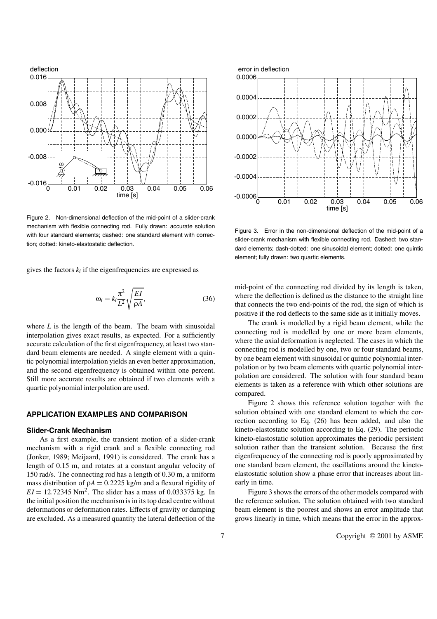

Figure 2. Non-dimensional deflection of the mid-point of a slider-crank mechanism with flexible connecting rod. Fully drawn: accurate solution with four standard elements; dashed: one standard element with correction; dotted: kineto-elastostatic deflection.

gives the factors  $k_i$  if the eigenfrequencies are expressed as

$$
\omega_i = k_i \frac{\pi^2}{L^2} \sqrt{\frac{EI}{\rho A}},\tag{36}
$$

where  $L$  is the length of the beam. The beam with sinusoidal interpolation gives exact results, as expected. For a sufficiently accurate calculation of the first eigenfrequency, at least two standard beam elements are needed. A single element with a quintic polynomial interpolation yields an even better approximation, and the second eigenfrequency is obtained within one percent. Still more accurate results are obtained if two elements with a quartic polynomial interpolation are used.

## **APPLICATION EXAMPLES AND COMPARISON**

## **Slider-Crank Mechanism**

As a first example, the transient motion of a slider-crank mechanism with a rigid crank and a flexible connecting rod (Jonker, 1989; Meijaard, 1991) is considered. The crank has a length of 0.15 m, and rotates at a constant angular velocity of 150 rad/s. The connecting rod has a length of 0.30 m, a uniform mass distribution of  $\rho A = 0.2225$  kg/m and a flexural rigidity of  $EI = 12.72345$  Nm<sup>2</sup>. The slider has a mass of 0.033375 kg. In the initial position the mechanism is in its top dead centre without deformations or deformation rates. Effects of gravity or damping are excluded. As a measured quantity the lateral deflection of the



Figure 3. Error in the non-dimensional deflection of the mid-point of a slider-crank mechanism with flexible connecting rod. Dashed: two standard elements; dash-dotted: one sinusoidal element; dotted: one quintic element; fully drawn: two quartic elements.

mid-point of the connecting rod divided by its length is taken, where the deflection is defined as the distance to the straight line that connects the two end-points of the rod, the sign of which is positive if the rod deflects to the same side as it initially moves.

The crank is modelled by a rigid beam element, while the connecting rod is modelled by one or more beam elements, where the axial deformation is neglected. The cases in which the connecting rod is modelled by one, two or four standard beams, by one beam element with sinusoidal or quintic polynomial interpolation or by two beam elements with quartic polynomial interpolation are considered. The solution with four standard beam elements is taken as a reference with which other solutions are compared.

Figure 2 shows this reference solution together with the solution obtained with one standard element to which the correction according to Eq. (26) has been added, and also the kineto-elastostatic solution according to Eq. (29). The periodic kineto-elastostatic solution approximates the periodic persistent solution rather than the transient solution. Because the first eigenfrequency of the connecting rod is poorly approximated by one standard beam element, the oscillations around the kinetoelastostatic solution show a phase error that increases about linearly in time.

Figure 3 shows the errors of the other models compared with the reference solution. The solution obtained with two standard beam element is the poorest and shows an error amplitude that grows linearly in time, which means that the error in the approx-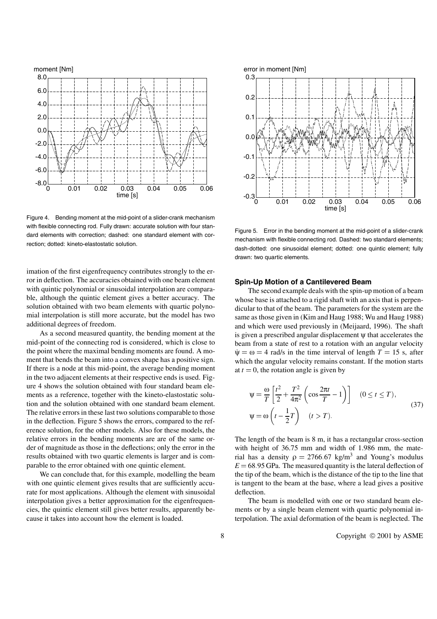

Figure 4. Bending moment at the mid-point of a slider-crank mechanism with flexible connecting rod. Fully drawn: accurate solution with four standard elements with correction; dashed: one standard element with correction; dotted: kineto-elastostatic solution.

imation of the first eigenfrequency contributes strongly to the error in deflection. The accuracies obtained with one beam element with quintic polynomial or sinusoidal interpolation are comparable, although the quintic element gives a better accuracy. The solution obtained with two beam elements with quartic polynomial interpolation is still more accurate, but the model has two additional degrees of freedom.

As a second measured quantity, the bending moment at the mid-point of the connecting rod is considered, which is close to the point where the maximal bending moments are found. A moment that bends the beam into a convex shape has a positive sign. If there is a node at this mid-point, the average bending moment in the two adjacent elements at their respective ends is used. Figure 4 shows the solution obtained with four standard beam elements as a reference, together with the kineto-elastostatic solution and the solution obtained with one standard beam element. The relative errors in these last two solutions comparable to those in the deflection. Figure 5 shows the errors, compared to the reference solution, for the other models. Also for these models, the relative errors in the bending moments are are of the same order of magnitude as those in the deflections; only the error in the results obtained with two quartic elements is larger and is comparable to the error obtained with one quintic element.

We can conclude that, for this example, modelling the beam with one quintic element gives results that are sufficiently accurate for most applications. Although the element with sinusoidal interpolation gives a better approximation for the eigenfrequencies, the quintic element still gives better results, apparently because it takes into account how the element is loaded.



Figure 5. Error in the bending moment at the mid-point of a slider-crank mechanism with flexible connecting rod. Dashed: two standard elements; dash-dotted: one sinusoidal element; dotted: one quintic element; fully drawn: two quartic elements.

## **Spin-Up Motion of a Cantilevered Beam**

The second example deals with the spin-up motion of a beam whose base is attached to a rigid shaft with an axis that is perpendicular to that of the beam. The parameters for the system are the same as those given in (Kim and Haug 1988; Wu and Haug 1988) and which were used previously in (Meijaard, 1996). The shaft is given a prescribed angular displacement ψ that accelerates the beam from a state of rest to a rotation with an angular velocity  $\psi = \omega = 4$  rad/s in the time interval of length  $T = 15$  s, after which the angular velocity remains constant. If the motion starts at  $t = 0$ , the rotation angle is given by

$$
\Psi = \frac{\omega}{T} \left[ \frac{t^2}{2} + \frac{T^2}{4\pi^2} \left( \cos \frac{2\pi t}{T} - 1 \right) \right] \quad (0 \le t \le T),
$$
  
\n
$$
\Psi = \omega \left( t - \frac{1}{2} T \right) \quad (t > T).
$$
\n(37)

The length of the beam is 8 m, it has a rectangular cross-section with height of 36.75 mm and width of 1.986 mm, the material has a density  $\rho = 2766.67 \text{ kg/m}^3$  and Young's modulus  $E = 68.95$  GPa. The measured quantity is the lateral deflection of the tip of the beam, which is the distance of the tip to the line that is tangent to the beam at the base, where a lead gives a positive deflection.

The beam is modelled with one or two standard beam elements or by a single beam element with quartic polynomial interpolation. The axial deformation of the beam is neglected. The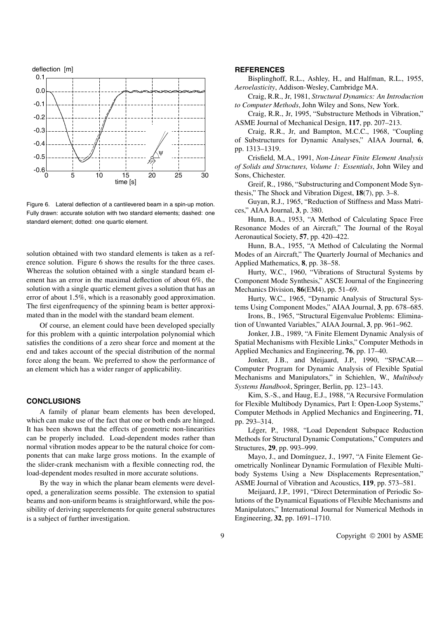

Figure 6. Lateral deflection of a cantilevered beam in a spin-up motion. Fully drawn: accurate solution with two standard elements; dashed: one standard element; dotted: one quartic element.

solution obtained with two standard elements is taken as a reference solution. Figure 6 shows the results for the three cases. Whereas the solution obtained with a single standard beam element has an error in the maximal deflection of about 6%, the solution with a single quartic element gives a solution that has an error of about 1.5%, which is a reasonably good approximation. The first eigenfrequency of the spinning beam is better approximated than in the model with the standard beam element.

Of course, an element could have been developed specially for this problem with a quintic interpolation polynomial which satisfies the conditions of a zero shear force and moment at the end and takes account of the special distribution of the normal force along the beam. We preferred to show the performance of an element which has a wider ranger of applicability.

## **CONCLUSIONS**

A family of planar beam elements has been developed, which can make use of the fact that one or both ends are hinged. It has been shown that the effects of geometric non-linearities can be properly included. Load-dependent modes rather than normal vibration modes appear to be the natural choice for components that can make large gross motions. In the example of the slider-crank mechanism with a flexible connecting rod, the load-dependent modes resulted in more accurate solutions.

By the way in which the planar beam elements were developed, a generalization seems possible. The extension to spatial beams and non-uniform beams is straightforward, while the possibility of deriving superelements for quite general substructures is a subject of further investigation.

## **REFERENCES**

Bisplinghoff, R.L., Ashley, H., and Halfman, R.L., 1955, *Aeroelasticity*, Addison-Wesley, Cambridge MA.

Craig, R.R., Jr, 1981, *Structural Dynamics: An Introduction to Computer Methods*, John Wiley and Sons, New York.

Craig, R.R., Jr, 1995, "Substructure Methods in Vibration," ASME Journal of Mechanical Design, **117**, pp. 207–213.

Craig, R.R., Jr, and Bampton, M.C.C., 1968, "Coupling of Substructures for Dynamic Analyses," AIAA Journal, **6**, pp. 1313–1319.

Crisfield, M.A., 1991, *Non-Linear Finite Element Analysis of Solids and Structures, Volume 1: Essentials*, John Wiley and Sons, Chichester.

Greif, R., 1986, "Substructuring and Component Mode Synthesis," The Shock and Vibration Digest, **18**(7), pp. 3–8.

Guyan, R.J., 1965, "Reduction of Stiffness and Mass Matrices," AIAA Journal, **3**, p. 380.

Hunn, B.A., 1953, "A Method of Calculating Space Free Resonance Modes of an Aircraft," The Journal of the Royal Aeronautical Society, **57**, pp. 420–422.

Hunn, B.A., 1955, "A Method of Calculating the Normal Modes of an Aircraft," The Quarterly Journal of Mechanics and Applied Mathematics, **8**, pp. 38–58.

Hurty, W.C., 1960, "Vibrations of Structural Systems by Component Mode Synthesis," ASCE Journal of the Engineering Mechanics Division, **86**(EM4), pp. 51–69.

Hurty, W.C., 1965, "Dynamic Analysis of Structural Systems Using Component Modes," AIAA Journal, **3**, pp. 678–685.

Irons, B., 1965, "Structural Eigenvalue Problems: Elimination of Unwanted Variables," AIAA Journal, **3**, pp. 961–962.

Jonker, J.B., 1989, "A Finite Element Dynamic Analysis of Spatial Mechanisms with Flexible Links," Computer Methods in Applied Mechanics and Engineering, **76**, pp. 17–40.

Jonker, J.B., and Meijaard, J.P., 1990, "SPACAR— Computer Program for Dynamic Analysis of Flexible Spatial Mechanisms and Manipulators," in Schiehlen, W., *Multibody Systems Handbook*, Springer, Berlin, pp. 123–143.

Kim, S.-S., and Haug, E.J., 1988, "A Recursive Formulation for Flexible Multibody Dynamics, Part I: Open-Loop Systems," Computer Methods in Applied Mechanics and Engineering, **71**, pp. 293–314.

Léger, P., 1988, "Load Dependent Subspace Reduction Methods for Structural Dynamic Computations," Computers and Structures, **29**, pp. 993–999.

Mayo, J., and Domínguez, J., 1997, "A Finite Element Geometrically Nonlinear Dynamic Formulation of Flexible Multibody Systems Using a New Displacements Representation," ASME Journal of Vibration and Acoustics, **119**, pp. 573–581.

Meijaard, J.P., 1991, "Direct Determination of Periodic Solutions of the Dynamical Equations of Flexible Mechanisms and Manipulators," International Journal for Numerical Methods in Engineering, **32**, pp. 1691–1710.